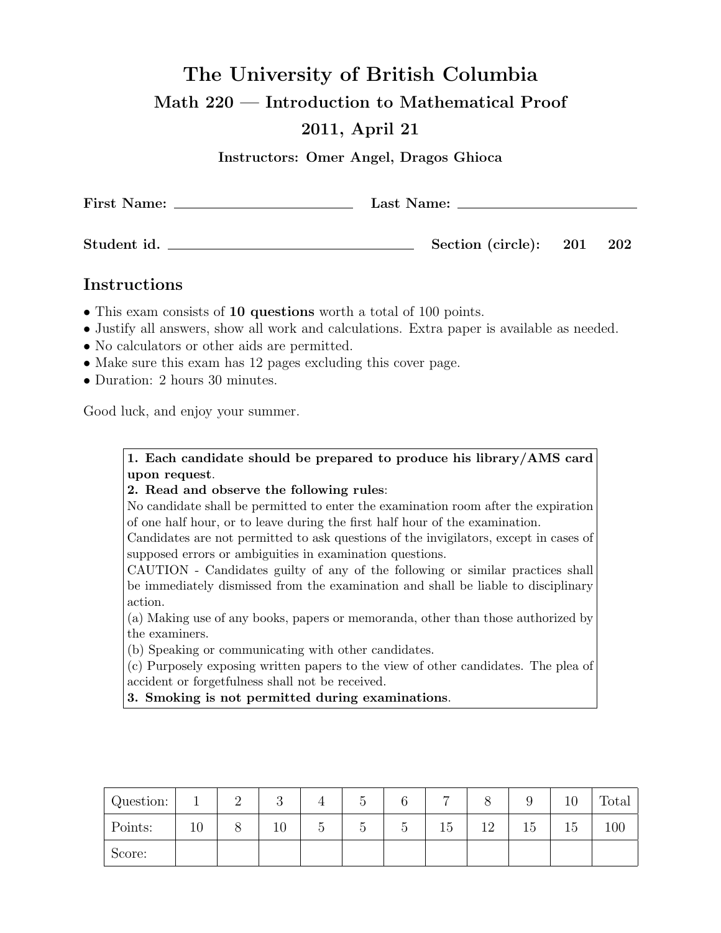## The University of British Columbia

Math 220 — Introduction to Mathematical Proof

## 2011, April 21

Instructors: Omer Angel, Dragos Ghioca

| <b>First Name:</b> | Last Name:            |  |         |  |  |  |  |
|--------------------|-----------------------|--|---------|--|--|--|--|
| Student id.        | Section (circle): 201 |  | $202\,$ |  |  |  |  |

## Instructions

- This exam consists of 10 questions worth a total of 100 points.
- Justify all answers, show all work and calculations. Extra paper is available as needed.
- No calculators or other aids are permitted.
- Make sure this exam has 12 pages excluding this cover page.
- Duration: 2 hours 30 minutes.

Good luck, and enjoy your summer.

1. Each candidate should be prepared to produce his library/AMS card upon request.

## 2. Read and observe the following rules:

No candidate shall be permitted to enter the examination room after the expiration of one half hour, or to leave during the first half hour of the examination.

Candidates are not permitted to ask questions of the invigilators, except in cases of supposed errors or ambiguities in examination questions.

CAUTION - Candidates guilty of any of the following or similar practices shall be immediately dismissed from the examination and shall be liable to disciplinary action.

(a) Making use of any books, papers or memoranda, other than those authorized by the examiners.

(b) Speaking or communicating with other candidates.

(c) Purposely exposing written papers to the view of other candidates. The plea of accident or forgetfulness shall not be received.

3. Smoking is not permitted during examinations.

| Question: |    | റ<br>◡ |                                 |             |   | $\overline{ }$ |    |    | ΠU | m<br>$_{\rm Total}$ |
|-----------|----|--------|---------------------------------|-------------|---|----------------|----|----|----|---------------------|
| Points:   | ΠU | 10     | $\tilde{\phantom{a}}$<br>h<br>U | $\check{ }$ | ◡ | 15             | 12 | 15 | Ъb | 100                 |
| Score:    |    |        |                                 |             |   |                |    |    |    |                     |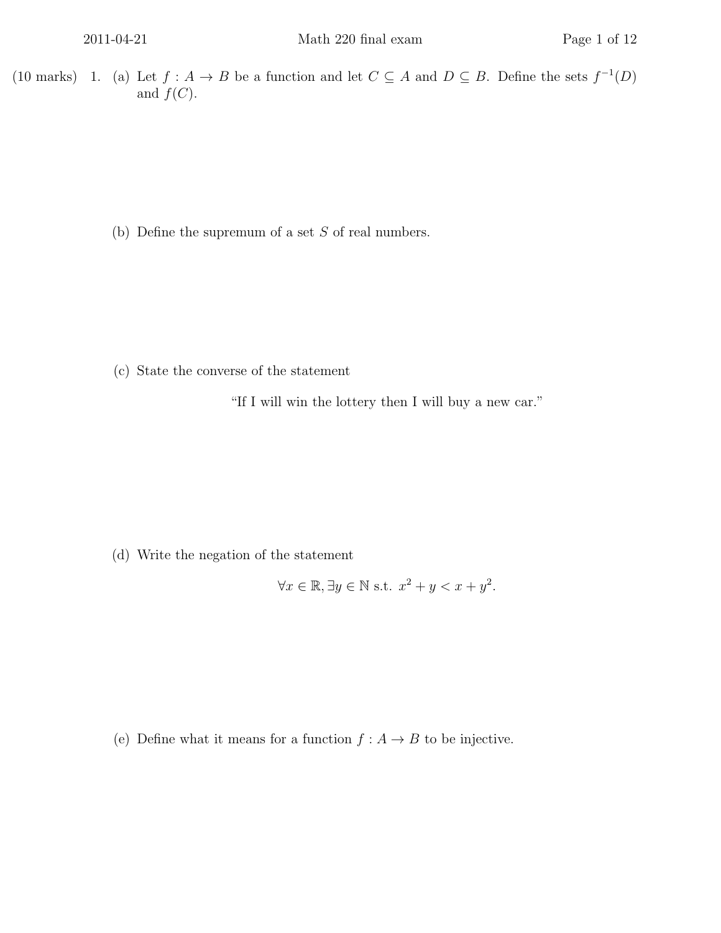(10 marks) 1. (a) Let  $f : A \to B$  be a function and let  $C \subseteq A$  and  $D \subseteq B$ . Define the sets  $f^{-1}(D)$ and  $f(C)$ .

(b) Define the supremum of a set  $S$  of real numbers.

(c) State the converse of the statement

"If I will win the lottery then I will buy a new car."

(d) Write the negation of the statement

$$
\forall x \in \mathbb{R}, \exists y \in \mathbb{N} \text{ s.t. } x^2 + y < x + y^2.
$$

(e) Define what it means for a function  $f : A \to B$  to be injective.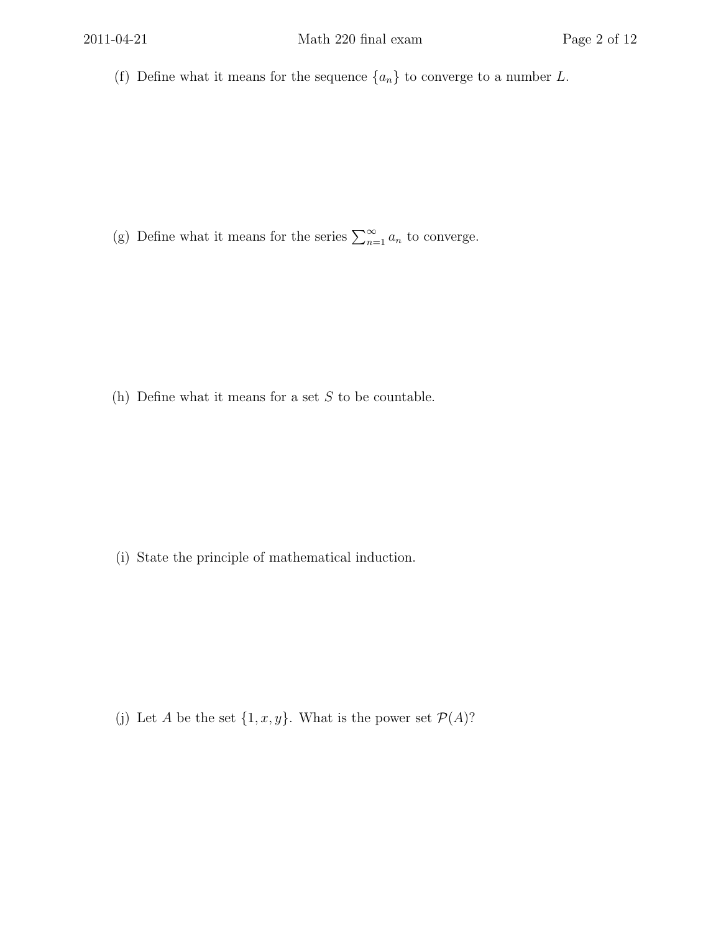(f) Define what it means for the sequence  $\{a_n\}$  to converge to a number L.

(g) Define what it means for the series  $\sum_{n=1}^{\infty} a_n$  to converge.

(h) Define what it means for a set  $S$  to be countable.

(i) State the principle of mathematical induction.

(j) Let A be the set  $\{1, x, y\}$ . What is the power set  $\mathcal{P}(A)$ ?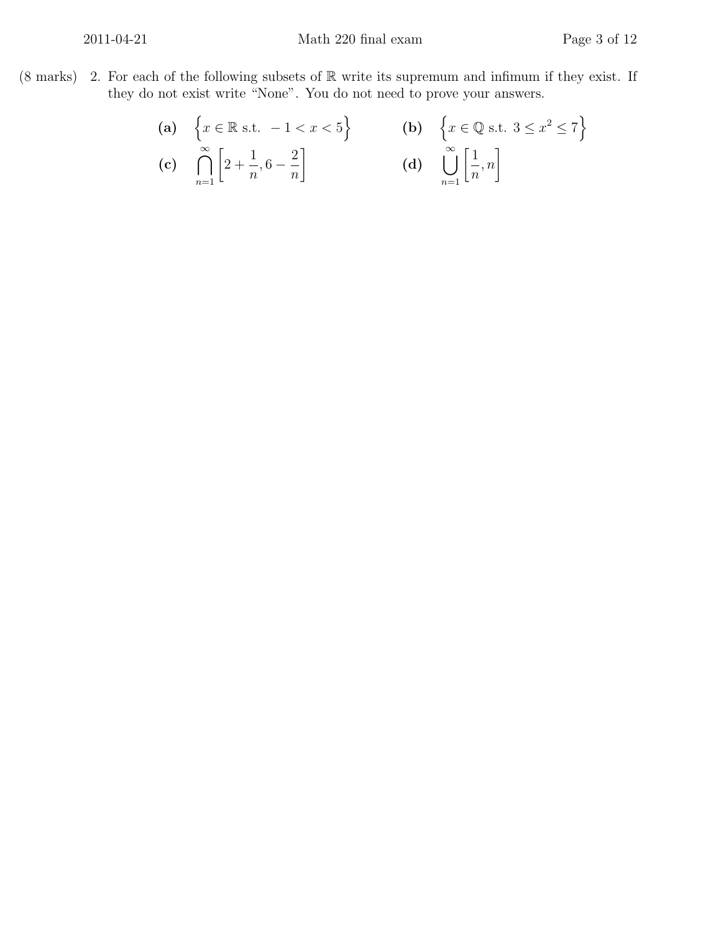(8 marks) 2. For each of the following subsets of  $\mathbb R$  write its supremum and infimum if they exist. If they do not exist write "None". You do not need to prove your answers.

(a) 
$$
\left\{x \in \mathbb{R} \text{ s.t. } -1 < x < 5\right\}
$$
  
\n(b) 
$$
\left\{x \in \mathbb{Q} \text{ s.t. } 3 \le x^2 \le 7\right\}
$$
  
\n(c) 
$$
\bigcap_{n=1}^{\infty} \left[2 + \frac{1}{n}, 6 - \frac{2}{n}\right]
$$
  
\n(d) 
$$
\bigcup_{n=1}^{\infty} \left[\frac{1}{n}, n\right]
$$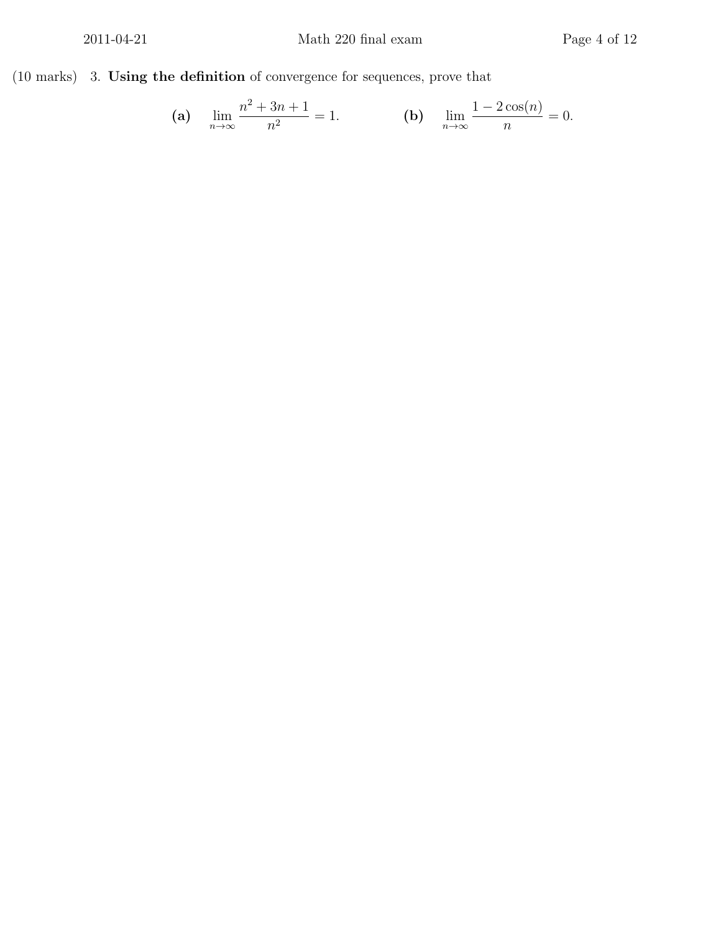(10 marks) 3. Using the definition of convergence for sequences, prove that

(a) 
$$
\lim_{n \to \infty} \frac{n^2 + 3n + 1}{n^2} = 1.
$$
 (b)  $\lim_{n \to \infty} \frac{1 - 2\cos(n)}{n} = 0.$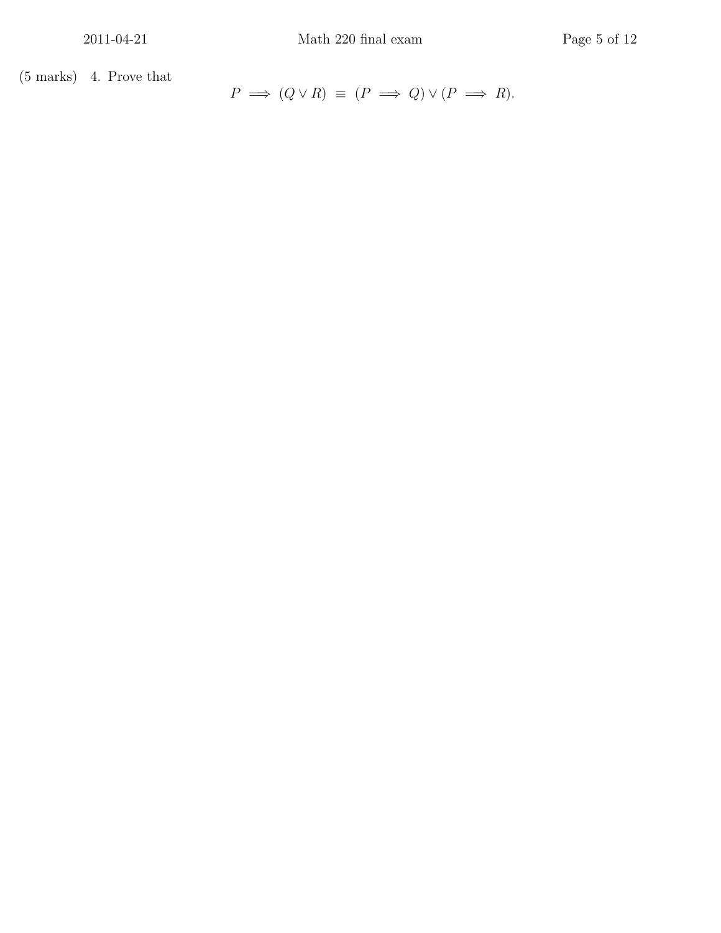$(5 \text{ marks})$  4. Prove that

 $P \implies (Q \lor R) \equiv (P \implies Q) \lor (P \implies R).$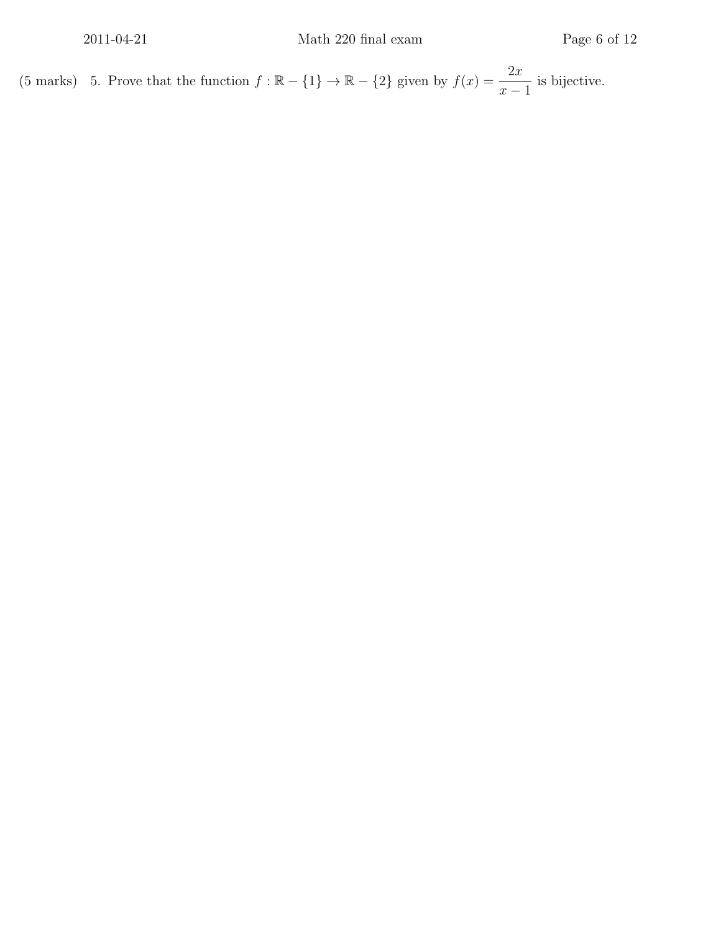(5 marks) 5. Prove that the function  $f : \mathbb{R} - \{1\} \to \mathbb{R} - \{2\}$  given by  $f(x) = \frac{2x}{x-1}$  $\frac{2x}{x-1}$  is bijective.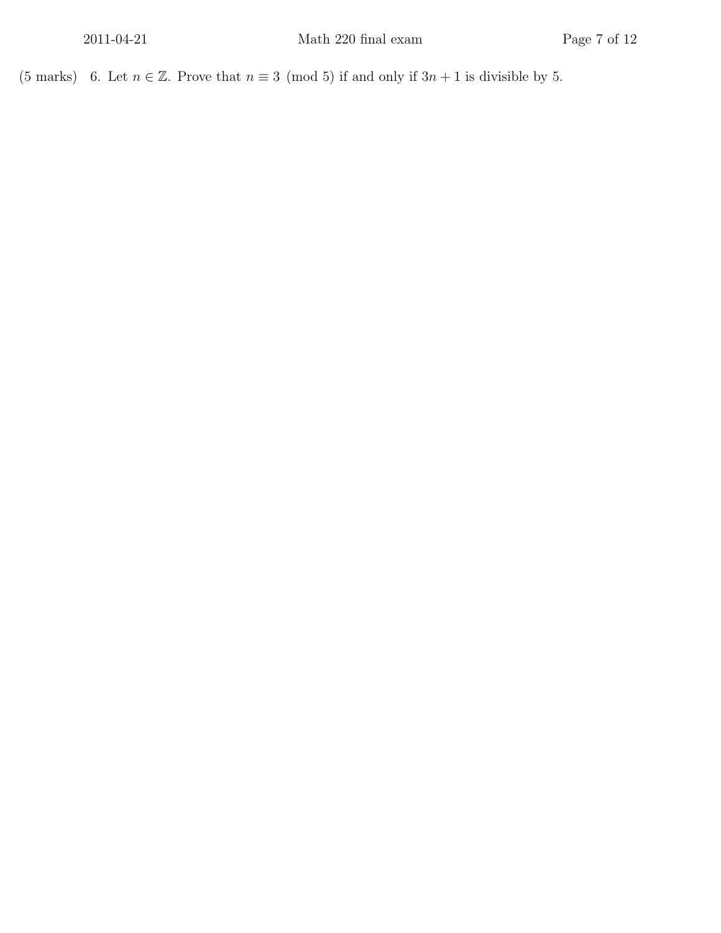(5 marks) 6. Let  $n \in \mathbb{Z}$ . Prove that  $n \equiv 3 \pmod{5}$  if and only if  $3n + 1$  is divisible by 5.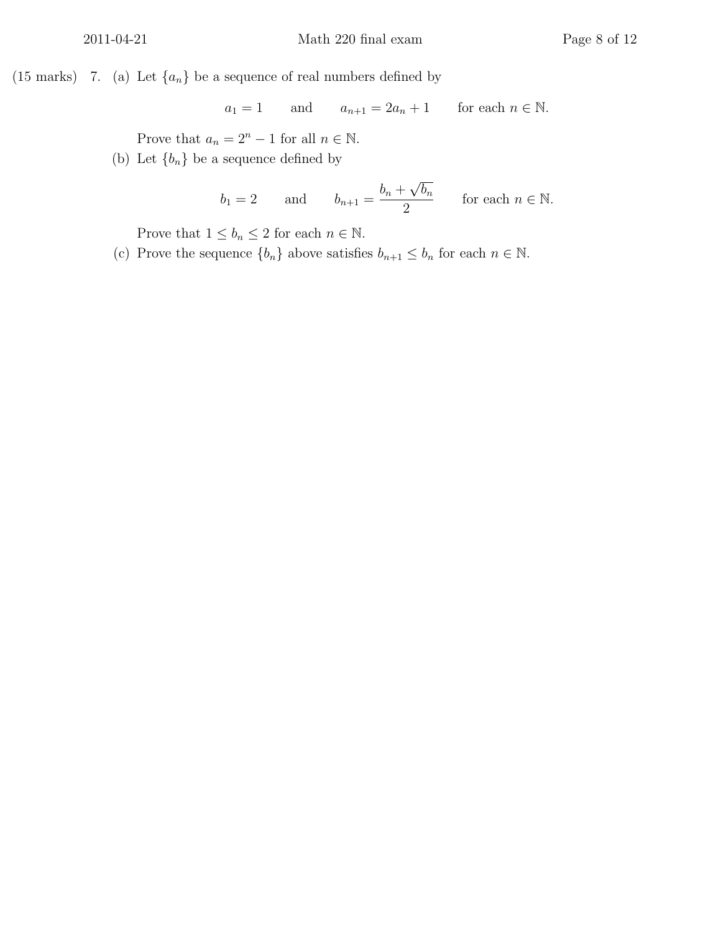(15 marks) (7. (a) Let  $\{a_n\}$  be a sequence of real numbers defined by

$$
a_1 = 1
$$
 and  $a_{n+1} = 2a_n + 1$  for each  $n \in \mathbb{N}$ .

Prove that  $a_n = 2^n - 1$  for all  $n \in \mathbb{N}$ .

(b) Let  ${b_n}$  be a sequence defined by

$$
b_1 = 2
$$
 and  $b_{n+1} = \frac{b_n + \sqrt{b_n}}{2}$  for each  $n \in \mathbb{N}$ .

Prove that  $1 \le b_n \le 2$  for each  $n \in \mathbb{N}$ .

(c) Prove the sequence  $\{b_n\}$  above satisfies  $b_{n+1} \leq b_n$  for each  $n \in \mathbb{N}$ .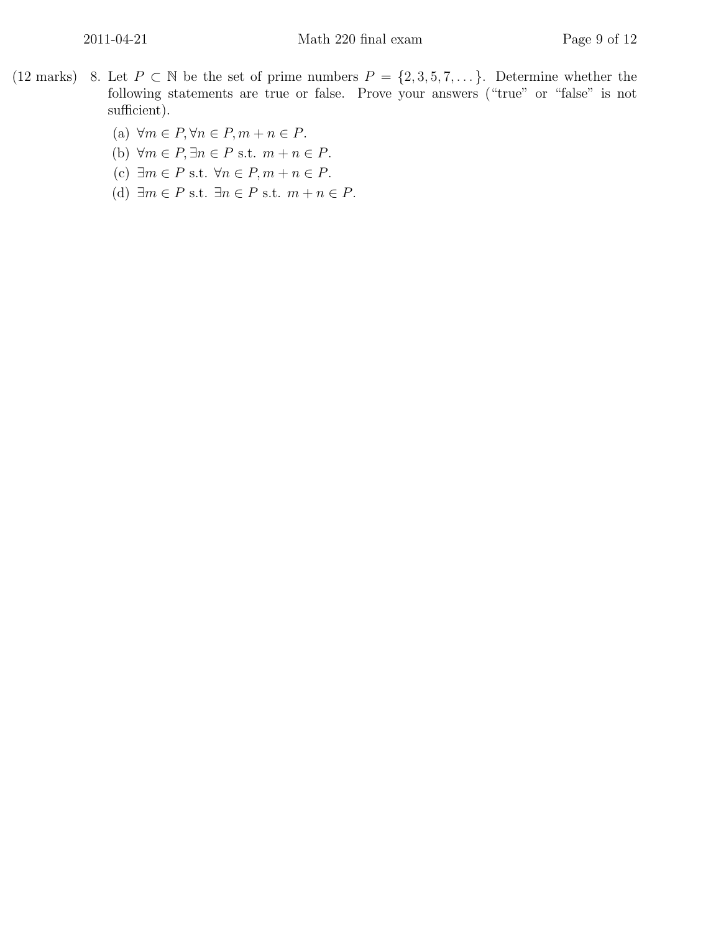- (12 marks) 8. Let  $P \subset \mathbb{N}$  be the set of prime numbers  $P = \{2, 3, 5, 7, \dots\}$ . Determine whether the following statements are true or false. Prove your answers ("true" or "false" is not sufficient).
	- (a)  $\forall m \in P, \forall n \in P, m + n \in P$ .
	- (b)  $\forall m \in P, \exists n \in P \text{ s.t. } m + n \in P.$
	- (c)  $\exists m \in P \text{ s.t. } \forall n \in P, m + n \in P.$
	- (d)  $\exists m \in P \text{ s.t. } \exists n \in P \text{ s.t. } m + n \in P.$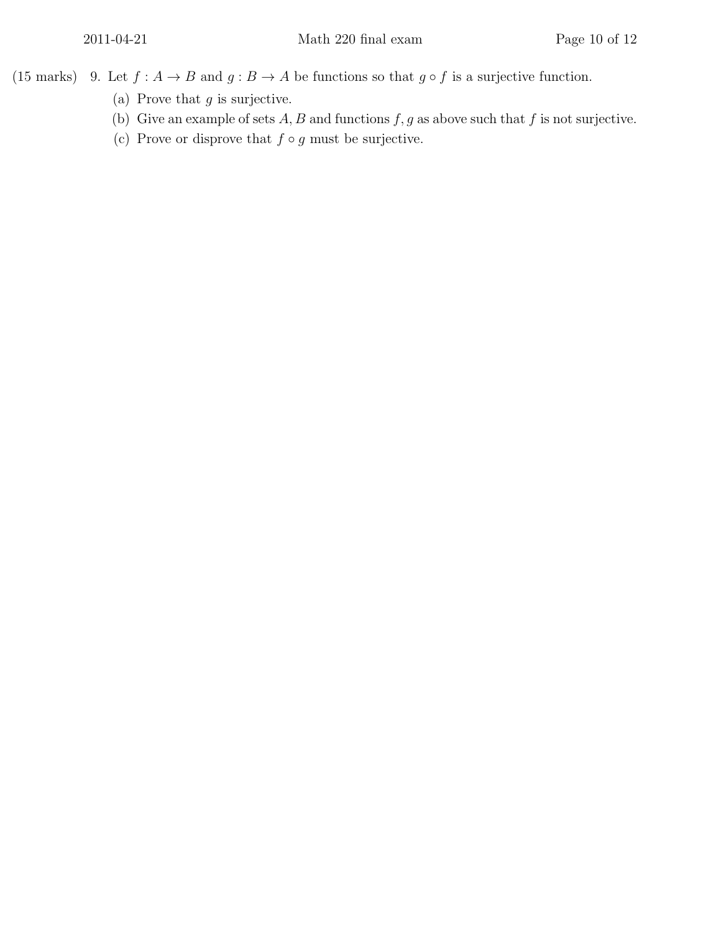(15 marks) 9. Let  $f : A \to B$  and  $g : B \to A$  be functions so that  $g \circ f$  is a surjective function.

- (a) Prove that  $g$  is surjective.
- (b) Give an example of sets  $A, B$  and functions  $f, g$  as above such that  $f$  is not surjective.
- (c) Prove or disprove that  $f \circ g$  must be surjective.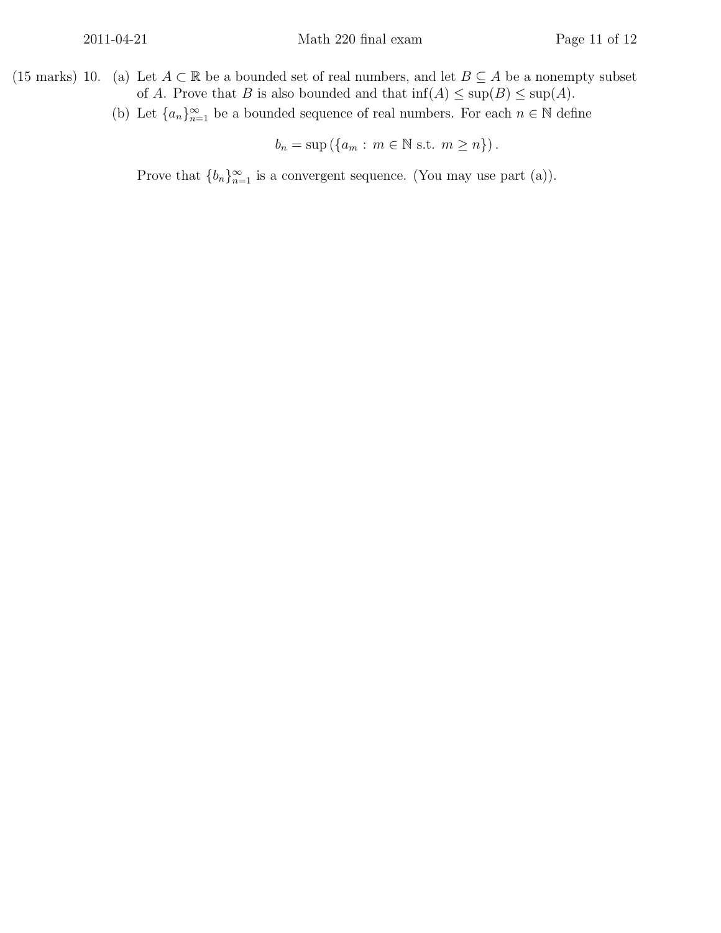- (15 marks) 10. (a) Let  $A \subset \mathbb{R}$  be a bounded set of real numbers, and let  $B \subseteq A$  be a nonempty subset of A. Prove that B is also bounded and that  $\inf(A) \leq \sup(B) \leq \sup(A)$ .
	- (b) Let  ${a_n}_{n=1}^{\infty}$  be a bounded sequence of real numbers. For each  $n \in \mathbb{N}$  define

$$
b_n = \sup\left(\{a_m : m \in \mathbb{N} \text{ s.t. } m \geq n\}\right).
$$

Prove that  $\{b_n\}_{n=1}^{\infty}$  is a convergent sequence. (You may use part (a)).